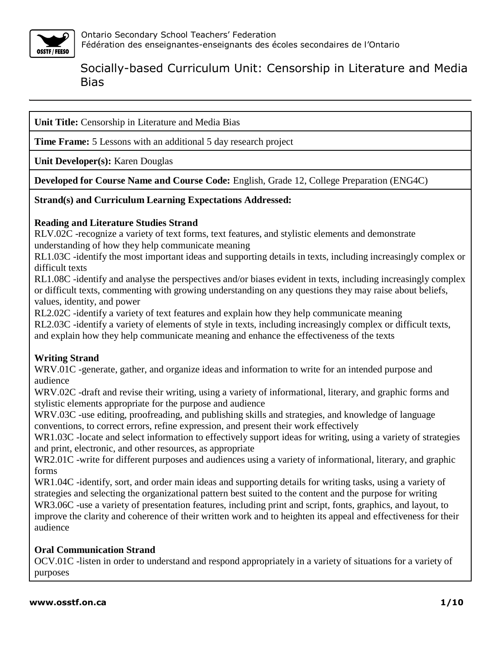

**Unit Title:** Censorship in Literature and Media Bias

**Time Frame:** 5 Lessons with an additional 5 day research project

**Unit Developer(s):** Karen Douglas

**Developed for Course Name and Course Code:** English, Grade 12, College Preparation (ENG4C)

**Strand(s) and Curriculum Learning Expectations Addressed:**

### **Reading and Literature Studies Strand**

RLV.02C -recognize a variety of text forms, text features, and stylistic elements and demonstrate understanding of how they help communicate meaning

RL1.03C -identify the most important ideas and supporting details in texts, including increasingly complex or difficult texts

RL1.08C -identify and analyse the perspectives and/or biases evident in texts, including increasingly complex or difficult texts, commenting with growing understanding on any questions they may raise about beliefs, values, identity, and power

RL2.02C -identify a variety of text features and explain how they help communicate meaning RL2.03C -identify a variety of elements of style in texts, including increasingly complex or difficult texts, and explain how they help communicate meaning and enhance the effectiveness of the texts

## **Writing Strand**

WRV.01C -generate, gather, and organize ideas and information to write for an intended purpose and audience

WRV.02C -draft and revise their writing, using a variety of informational, literary, and graphic forms and stylistic elements appropriate for the purpose and audience

WRV.03C -use editing, proofreading, and publishing skills and strategies, and knowledge of language conventions, to correct errors, refine expression, and present their work effectively

WR1.03C -locate and select information to effectively support ideas for writing, using a variety of strategies and print, electronic, and other resources, as appropriate

WR2.01C -write for different purposes and audiences using a variety of informational, literary, and graphic forms

WR1.04C -identify, sort, and order main ideas and supporting details for writing tasks, using a variety of strategies and selecting the organizational pattern best suited to the content and the purpose for writing WR3.06C -use a variety of presentation features, including print and script, fonts, graphics, and layout, to improve the clarity and coherence of their written work and to heighten its appeal and effectiveness for their audience

### **Oral Communication Strand**

OCV.01C -listen in order to understand and respond appropriately in a variety of situations for a variety of purposes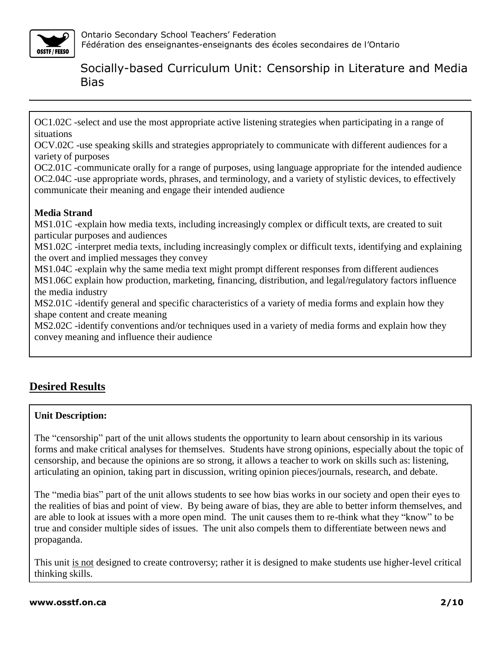

OC1.02C -select and use the most appropriate active listening strategies when participating in a range of situations

OCV.02C -use speaking skills and strategies appropriately to communicate with different audiences for a variety of purposes

OC2.01C -communicate orally for a range of purposes, using language appropriate for the intended audience OC2.04C -use appropriate words, phrases, and terminology, and a variety of stylistic devices, to effectively communicate their meaning and engage their intended audience

## **Media Strand**

MS1.01C -explain how media texts, including increasingly complex or difficult texts, are created to suit particular purposes and audiences

MS1.02C -interpret media texts, including increasingly complex or difficult texts, identifying and explaining the overt and implied messages they convey

MS1.04C -explain why the same media text might prompt different responses from different audiences MS1.06C explain how production, marketing, financing, distribution, and legal/regulatory factors influence the media industry

MS2.01C -identify general and specific characteristics of a variety of media forms and explain how they shape content and create meaning

MS2.02C -identify conventions and/or techniques used in a variety of media forms and explain how they convey meaning and influence their audience

# **Desired Results**

## **Unit Description:**

The "censorship" part of the unit allows students the opportunity to learn about censorship in its various forms and make critical analyses for themselves. Students have strong opinions, especially about the topic of censorship, and because the opinions are so strong, it allows a teacher to work on skills such as: listening, articulating an opinion, taking part in discussion, writing opinion pieces/journals, research, and debate.

The "media bias" part of the unit allows students to see how bias works in our society and open their eyes to the realities of bias and point of view. By being aware of bias, they are able to better inform themselves, and are able to look at issues with a more open mind. The unit causes them to re-think what they "know" to be true and consider multiple sides of issues. The unit also compels them to differentiate between news and propaganda.

This unit is not designed to create controversy; rather it is designed to make students use higher-level critical thinking skills.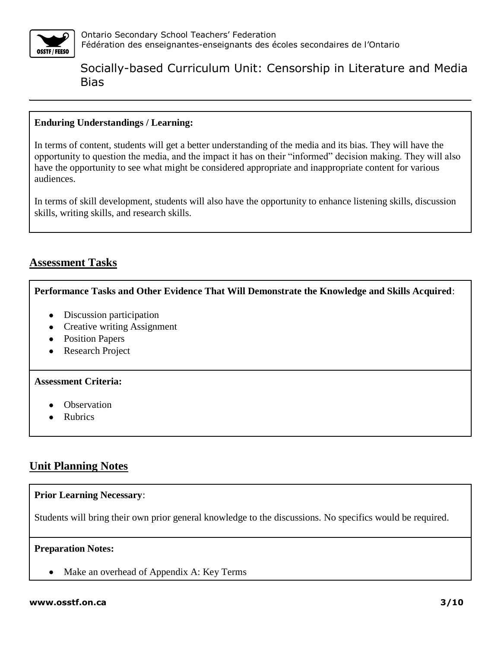

#### **Enduring Understandings / Learning:**

In terms of content, students will get a better understanding of the media and its bias. They will have the opportunity to question the media, and the impact it has on their "informed" decision making. They will also have the opportunity to see what might be considered appropriate and inappropriate content for various audiences.

In terms of skill development, students will also have the opportunity to enhance listening skills, discussion skills, writing skills, and research skills.

## **Assessment Tasks**

#### **Performance Tasks and Other Evidence That Will Demonstrate the Knowledge and Skills Acquired**:

- Discussion participation
- Creative writing Assignment
- Position Papers
- Research Project

#### **Assessment Criteria:**

- **Observation**
- Rubrics

## **Unit Planning Notes**

#### **Prior Learning Necessary**:

Students will bring their own prior general knowledge to the discussions. No specifics would be required.

#### **Preparation Notes:**

• Make an overhead of Appendix A: Key Terms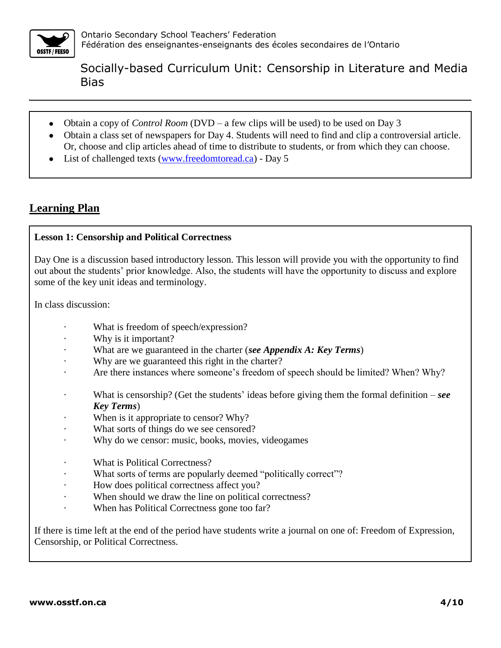

- Obtain a copy of *Control Room* (DVD a few clips will be used) to be used on Day 3
- Obtain a class set of newspapers for Day 4. Students will need to find and clip a controversial article. Or, choose and clip articles ahead of time to distribute to students, or from which they can choose.
- List of challenged texts [\(www.freedomtoread.ca\)](http://www.freedomtoread.ca/) Day 5

## **Learning Plan**

### **Lesson 1: Censorship and Political Correctness**

Day One is a discussion based introductory lesson. This lesson will provide you with the opportunity to find out about the students' prior knowledge. Also, the students will have the opportunity to discuss and explore some of the key unit ideas and terminology.

In class discussion:

- What is freedom of speech/expression?
- Why is it important?
- · What are we guaranteed in the charter (*see Appendix A: Key Terms*)
- Why are we guaranteed this right in the charter?
- Are there instances where someone's freedom of speech should be limited? When? Why?
- · What is censorship? (Get the students' ideas before giving them the formal definition *see Key Terms*)
- When is it appropriate to censor? Why?
- What sorts of things do we see censored?
- Why do we censor: music, books, movies, videogames
- What is Political Correctness?
- What sorts of terms are popularly deemed "politically correct"?
- How does political correctness affect you?
- When should we draw the line on political correctness?
- When has Political Correctness gone too far?

If there is time left at the end of the period have students write a journal on one of: Freedom of Expression, Censorship, or Political Correctness.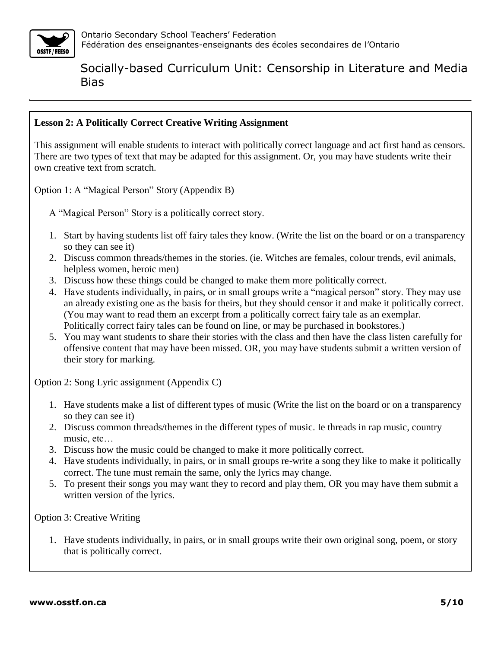

#### **Lesson 2: A Politically Correct Creative Writing Assignment**

This assignment will enable students to interact with politically correct language and act first hand as censors. There are two types of text that may be adapted for this assignment. Or, you may have students write their own creative text from scratch.

Option 1: A "Magical Person" Story (Appendix B)

A "Magical Person" Story is a politically correct story.

- 1. Start by having students list off fairy tales they know. (Write the list on the board or on a transparency so they can see it)
- 2. Discuss common threads/themes in the stories. (ie. Witches are females, colour trends, evil animals, helpless women, heroic men)
- 3. Discuss how these things could be changed to make them more politically correct.
- 4. Have students individually, in pairs, or in small groups write a "magical person" story. They may use an already existing one as the basis for theirs, but they should censor it and make it politically correct. (You may want to read them an excerpt from a politically correct fairy tale as an exemplar. Politically correct fairy tales can be found on line, or may be purchased in bookstores.)
- 5. You may want students to share their stories with the class and then have the class listen carefully for offensive content that may have been missed. OR, you may have students submit a written version of their story for marking.

Option 2: Song Lyric assignment (Appendix C)

- 1. Have students make a list of different types of music (Write the list on the board or on a transparency so they can see it)
- 2. Discuss common threads/themes in the different types of music. Ie threads in rap music, country music, etc…
- 3. Discuss how the music could be changed to make it more politically correct.
- 4. Have students individually, in pairs, or in small groups re-write a song they like to make it politically correct. The tune must remain the same, only the lyrics may change.
- 5. To present their songs you may want they to record and play them, OR you may have them submit a written version of the lyrics.

Option 3: Creative Writing

1. Have students individually, in pairs, or in small groups write their own original song, poem, or story that is politically correct.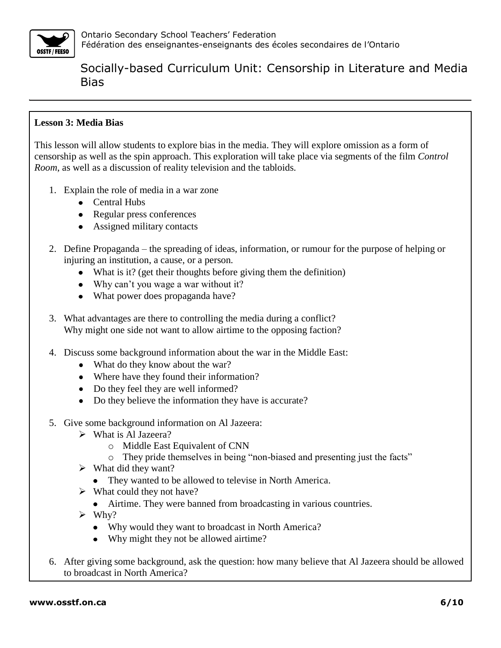

### **Lesson 3: Media Bias**

This lesson will allow students to explore bias in the media. They will explore omission as a form of censorship as well as the spin approach. This exploration will take place via segments of the film *Control Room*, as well as a discussion of reality television and the tabloids.

- 1. Explain the role of media in a war zone
	- Central Hubs
	- Regular press conferences
	- Assigned military contacts
- 2. Define Propaganda the spreading of ideas, information, or rumour for the purpose of helping or injuring an institution, a cause, or a person.
	- What is it? (get their thoughts before giving them the definition)
	- Why can't you wage a war without it?
	- What power does propaganda have?
- 3. What advantages are there to controlling the media during a conflict? Why might one side not want to allow airtime to the opposing faction?
- 4. Discuss some background information about the war in the Middle East:
	- What do they know about the war?
	- Where have they found their information?
	- Do they feel they are well informed?
	- Do they believe the information they have is accurate?
- 5. Give some background information on Al Jazeera:
	- What is Al Jazeera?
		- o Middle East Equivalent of CNN
		- o They pride themselves in being "non-biased and presenting just the facts"
	- $\triangleright$  What did they want?
		- They wanted to be allowed to televise in North America.
	- $\triangleright$  What could they not have?
		- Airtime. They were banned from broadcasting in various countries.
	- $\triangleright$  Why?
		- Why would they want to broadcast in North America?
		- Why might they not be allowed airtime?
- 6. After giving some background, ask the question: how many believe that Al Jazeera should be allowed to broadcast in North America?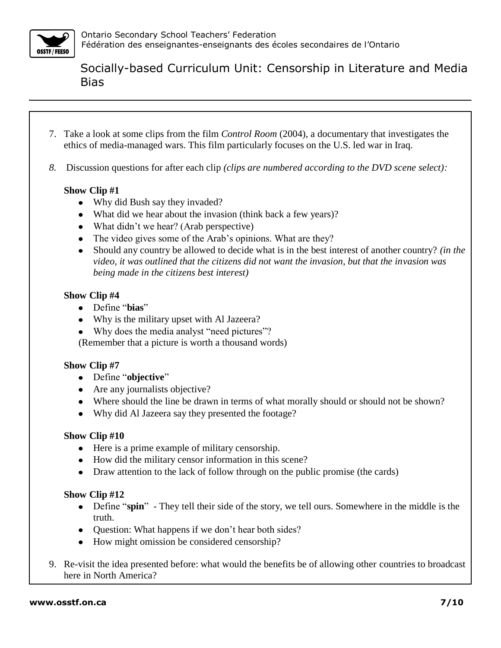

- 7. Take a look at some clips from the film *Control Room* (2004), a documentary that investigates the ethics of media-managed wars. This film particularly focuses on the U.S. led war in Iraq.
- *8.* Discussion questions for after each clip *(clips are numbered according to the DVD scene select):*

#### **Show Clip #1**

- Why did Bush say they invaded?
- What did we hear about the invasion (think back a few years)?
- What didn't we hear? (Arab perspective)
- The video gives some of the Arab's opinions. What are they?
- Should any country be allowed to decide what is in the best interest of another country? *(in the*   $\bullet$ *video, it was outlined that the citizens did not want the invasion, but that the invasion was being made in the citizens best interest)*

### **Show Clip #4**

- Define "**bias**"
- Why is the military upset with Al Jazeera?
- Why does the media analyst "need pictures"?

(Remember that a picture is worth a thousand words)

### **Show Clip #7**

- Define "**objective**"
- Are any journalists objective?
- Where should the line be drawn in terms of what morally should or should not be shown?
- Why did Al Jazeera say they presented the footage?

### **Show Clip #10**

- Here is a prime example of military censorship.
- How did the military censor information in this scene?
- Draw attention to the lack of follow through on the public promise (the cards)

### **Show Clip #12**

- Define "**spin**" They tell their side of the story, we tell ours. Somewhere in the middle is the truth.
- Question: What happens if we don't hear both sides?
- How might omission be considered censorship?
- 9. Re-visit the idea presented before: what would the benefits be of allowing other countries to broadcast here in North America?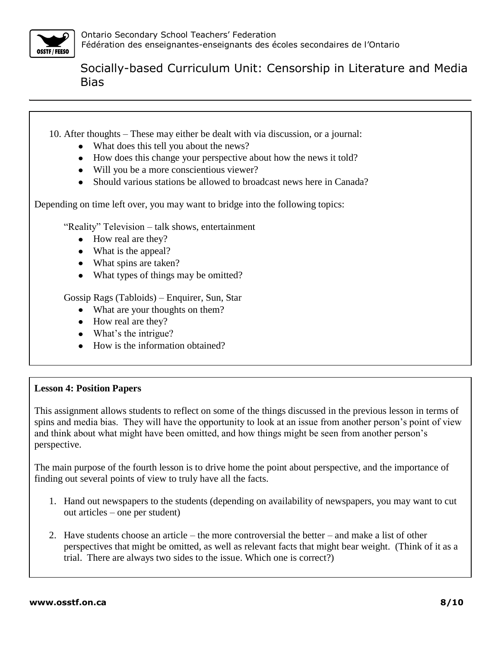

10. After thoughts – These may either be dealt with via discussion, or a journal:

- What does this tell you about the news?
- How does this change your perspective about how the news it told?
- Will you be a more conscientious viewer?
- Should various stations be allowed to broadcast news here in Canada?

Depending on time left over, you may want to bridge into the following topics:

"Reality" Television – talk shows, entertainment

- How real are they?
- What is the appeal?
- What spins are taken?
- What types of things may be omitted?

Gossip Rags (Tabloids) – Enquirer, Sun, Star

- What are your thoughts on them?
- How real are they?
- What's the intrigue?
- How is the information obtained?

#### **Lesson 4: Position Papers**

This assignment allows students to reflect on some of the things discussed in the previous lesson in terms of spins and media bias. They will have the opportunity to look at an issue from another person's point of view and think about what might have been omitted, and how things might be seen from another person's perspective.

The main purpose of the fourth lesson is to drive home the point about perspective, and the importance of finding out several points of view to truly have all the facts.

- 1. Hand out newspapers to the students (depending on availability of newspapers, you may want to cut out articles – one per student)
- 2. Have students choose an article the more controversial the better and make a list of other perspectives that might be omitted, as well as relevant facts that might bear weight. (Think of it as a trial. There are always two sides to the issue. Which one is correct?)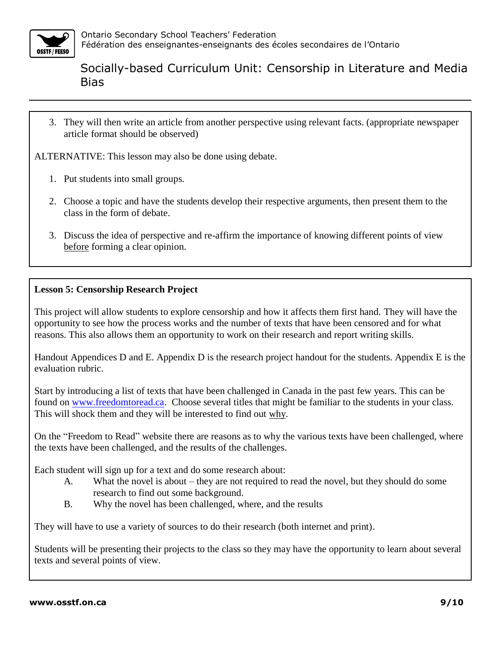

3. They will then write an article from another perspective using relevant facts. (appropriate newspaper article format should be observed)

ALTERNATIVE: This lesson may also be done using debate.

- 1. Put students into small groups.
- 2. Choose a topic and have the students develop their respective arguments, then present them to the class in the form of debate.
- 3. Discuss the idea of perspective and re-affirm the importance of knowing different points of view before forming a clear opinion.

#### **Lesson 5: Censorship Research Project**

This project will allow students to explore censorship and how it affects them first hand. They will have the opportunity to see how the process works and the number of texts that have been censored and for what reasons. This also allows them an opportunity to work on their research and report writing skills.

Handout Appendices D and E. Appendix D is the research project handout for the students. Appendix E is the evaluation rubric.

Start by introducing a list of texts that have been challenged in Canada in the past few years. This can be found on [www.freedomtoread.ca.](http://www.freedomtoread.ca/) Choose several titles that might be familiar to the students in your class. This will shock them and they will be interested to find out why.

On the "Freedom to Read" website there are reasons as to why the various texts have been challenged, where the texts have been challenged, and the results of the challenges.

Each student will sign up for a text and do some research about:

- A. What the novel is about they are not required to read the novel, but they should do some research to find out some background.
- B. Why the novel has been challenged, where, and the results

They will have to use a variety of sources to do their research (both internet and print).

Students will be presenting their projects to the class so they may have the opportunity to learn about several texts and several points of view.